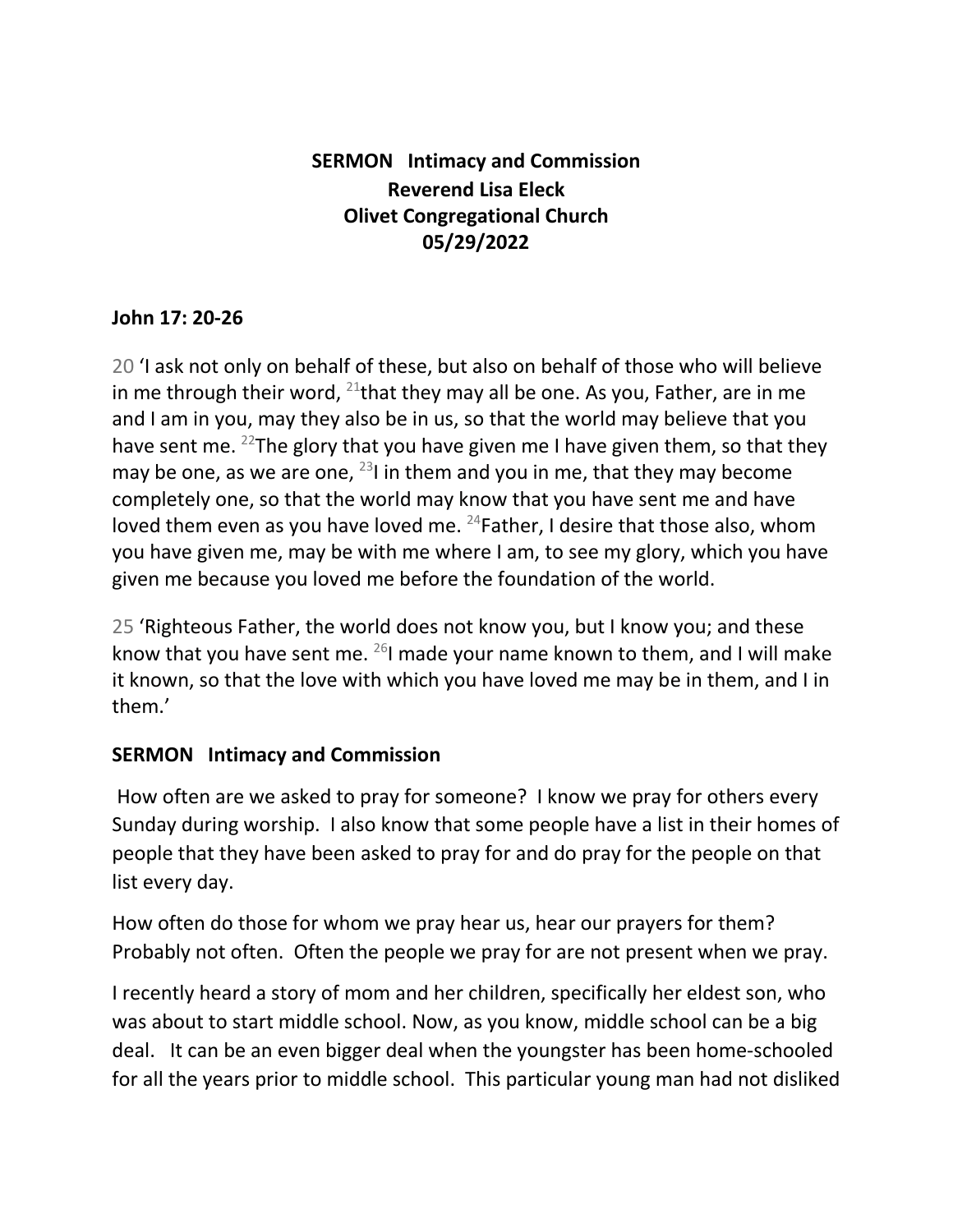## **SERMON Intimacy and Commission Reverend Lisa Eleck Olivet Congregational Church 05/29/2022**

## **John 17: 20-26**

20 'I ask not only on behalf of these, but also on behalf of those who will believe in me through their word,  $^{21}$ that they may all be one. As you, Father, are in me and I am in you, may they also be in us, so that the world may believe that you have sent me. <sup>22</sup>The glory that you have given me I have given them, so that they may be one, as we are one,  $^{23}$ I in them and you in me, that they may become completely one, so that the world may know that you have sent me and have loved them even as you have loved me. <sup>24</sup>Father, I desire that those also, whom you have given me, may be with me where I am, to see my glory, which you have given me because you loved me before the foundation of the world.

25 'Righteous Father, the world does not know you, but I know you; and these know that you have sent me.  $^{26}$ I made your name known to them, and I will make it known, so that the love with which you have loved me may be in them, and I in them.'

## **SERMON Intimacy and Commission**

How often are we asked to pray for someone? I know we pray for others every Sunday during worship. I also know that some people have a list in their homes of people that they have been asked to pray for and do pray for the people on that list every day.

How often do those for whom we pray hear us, hear our prayers for them? Probably not often. Often the people we pray for are not present when we pray.

I recently heard a story of mom and her children, specifically her eldest son, who was about to start middle school. Now, as you know, middle school can be a big deal. It can be an even bigger deal when the youngster has been home-schooled for all the years prior to middle school. This particular young man had not disliked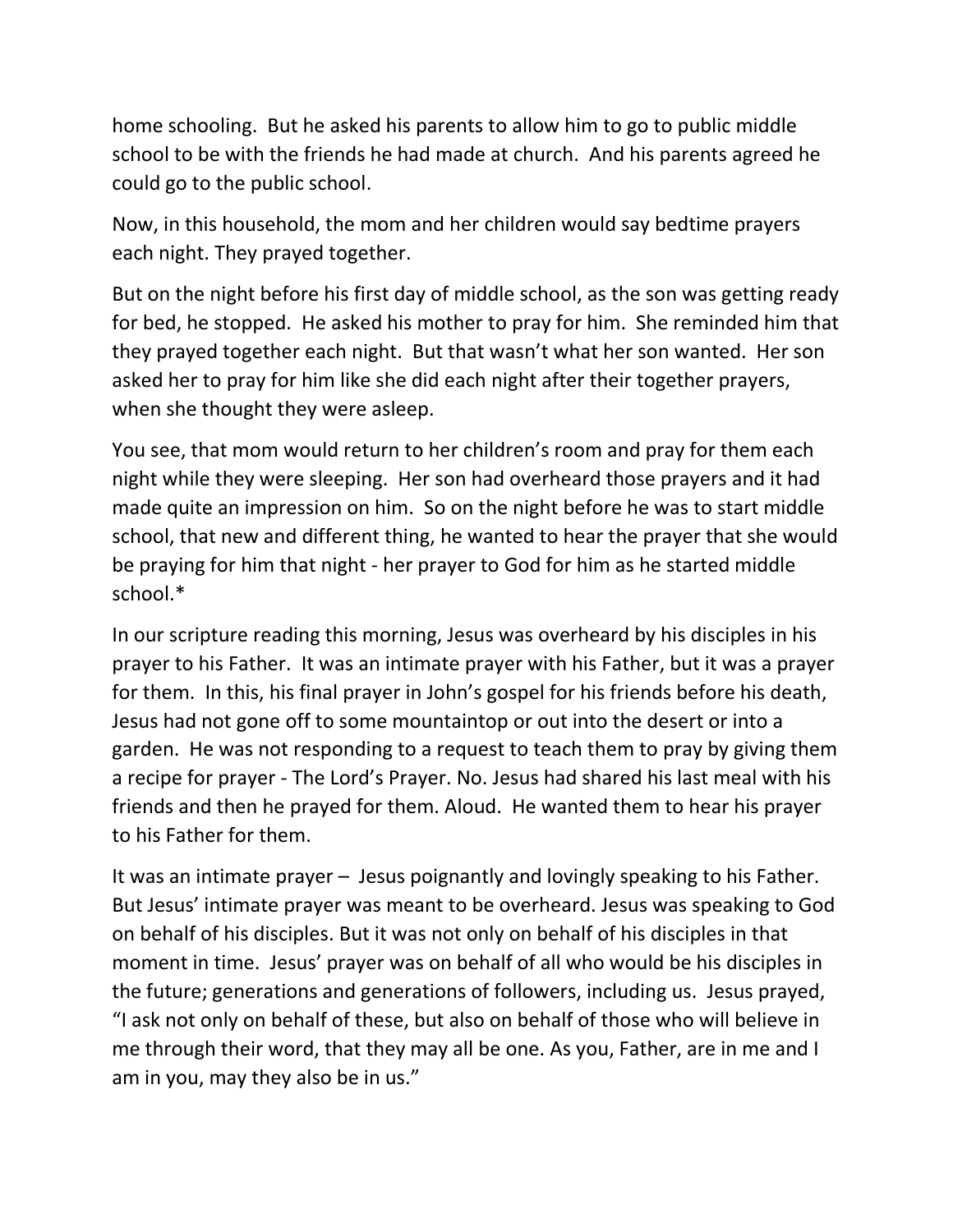home schooling. But he asked his parents to allow him to go to public middle school to be with the friends he had made at church. And his parents agreed he could go to the public school.

Now, in this household, the mom and her children would say bedtime prayers each night. They prayed together.

But on the night before his first day of middle school, as the son was getting ready for bed, he stopped. He asked his mother to pray for him. She reminded him that they prayed together each night. But that wasn't what her son wanted. Her son asked her to pray for him like she did each night after their together prayers, when she thought they were asleep.

You see, that mom would return to her children's room and pray for them each night while they were sleeping. Her son had overheard those prayers and it had made quite an impression on him. So on the night before he was to start middle school, that new and different thing, he wanted to hear the prayer that she would be praying for him that night - her prayer to God for him as he started middle school.\*

In our scripture reading this morning, Jesus was overheard by his disciples in his prayer to his Father. It was an intimate prayer with his Father, but it was a prayer for them. In this, his final prayer in John's gospel for his friends before his death, Jesus had not gone off to some mountaintop or out into the desert or into a garden. He was not responding to a request to teach them to pray by giving them a recipe for prayer - The Lord's Prayer. No. Jesus had shared his last meal with his friends and then he prayed for them. Aloud. He wanted them to hear his prayer to his Father for them.

It was an intimate prayer – Jesus poignantly and lovingly speaking to his Father. But Jesus' intimate prayer was meant to be overheard. Jesus was speaking to God on behalf of his disciples. But it was not only on behalf of his disciples in that moment in time. Jesus' prayer was on behalf of all who would be his disciples in the future; generations and generations of followers, including us. Jesus prayed, "I ask not only on behalf of these, but also on behalf of those who will believe in me through their word, that they may all be one. As you, Father, are in me and I am in you, may they also be in us."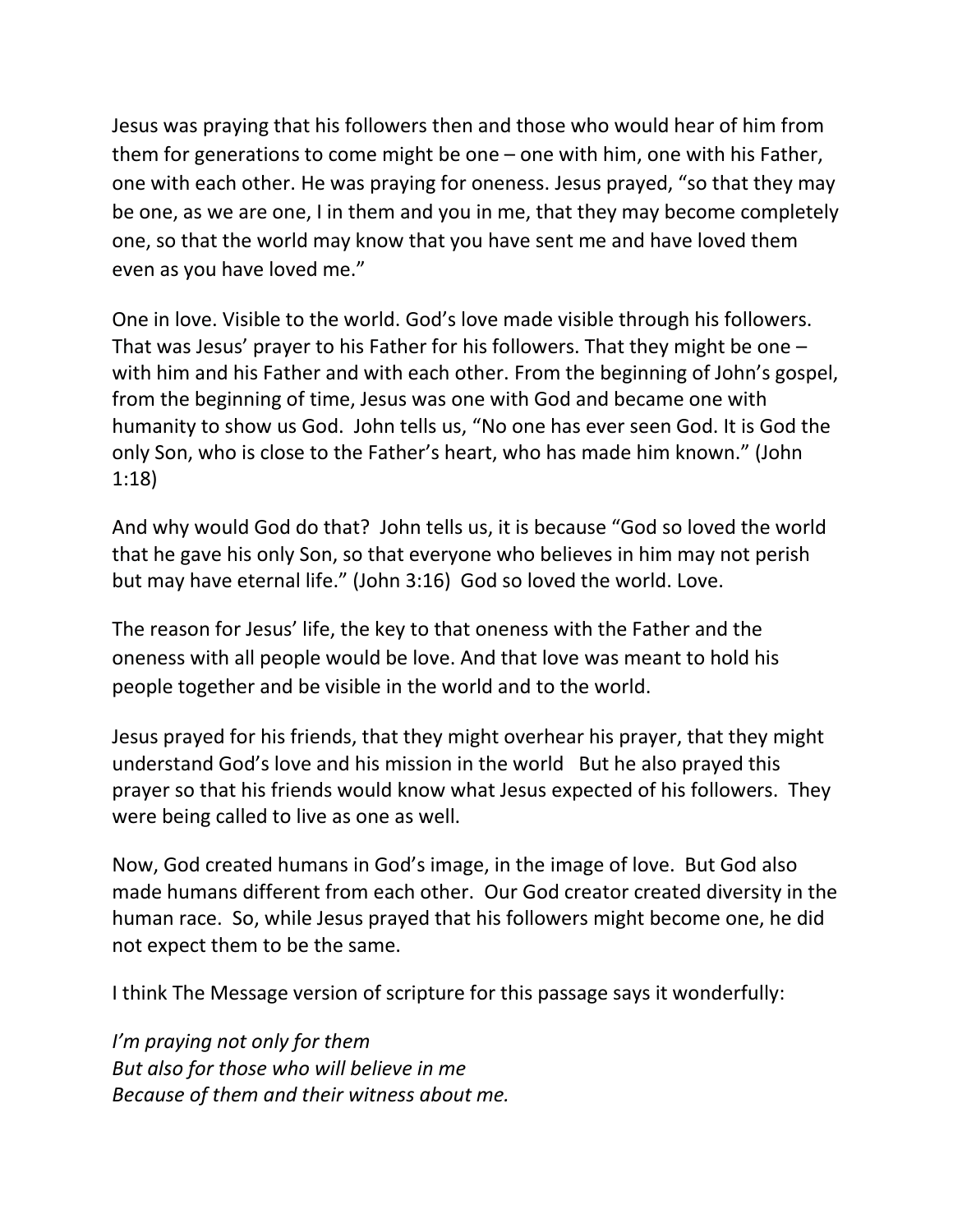Jesus was praying that his followers then and those who would hear of him from them for generations to come might be one – one with him, one with his Father, one with each other. He was praying for oneness. Jesus prayed, "so that they may be one, as we are one, I in them and you in me, that they may become completely one, so that the world may know that you have sent me and have loved them even as you have loved me."

One in love. Visible to the world. God's love made visible through his followers. That was Jesus' prayer to his Father for his followers. That they might be one – with him and his Father and with each other. From the beginning of John's gospel, from the beginning of time, Jesus was one with God and became one with humanity to show us God. John tells us, "No one has ever seen God. It is God the only Son, who is close to the Father's heart, who has made him known." (John 1:18)

And why would God do that? John tells us, it is because "God so loved the world that he gave his only Son, so that everyone who believes in him may not perish but may have eternal life." (John 3:16) God so loved the world. Love.

The reason for Jesus' life, the key to that oneness with the Father and the oneness with all people would be love. And that love was meant to hold his people together and be visible in the world and to the world.

Jesus prayed for his friends, that they might overhear his prayer, that they might understand God's love and his mission in the world But he also prayed this prayer so that his friends would know what Jesus expected of his followers. They were being called to live as one as well.

Now, God created humans in God's image, in the image of love. But God also made humans different from each other. Our God creator created diversity in the human race. So, while Jesus prayed that his followers might become one, he did not expect them to be the same.

I think The Message version of scripture for this passage says it wonderfully:

*I'm praying not only for them But also for those who will believe in me Because of them and their witness about me.*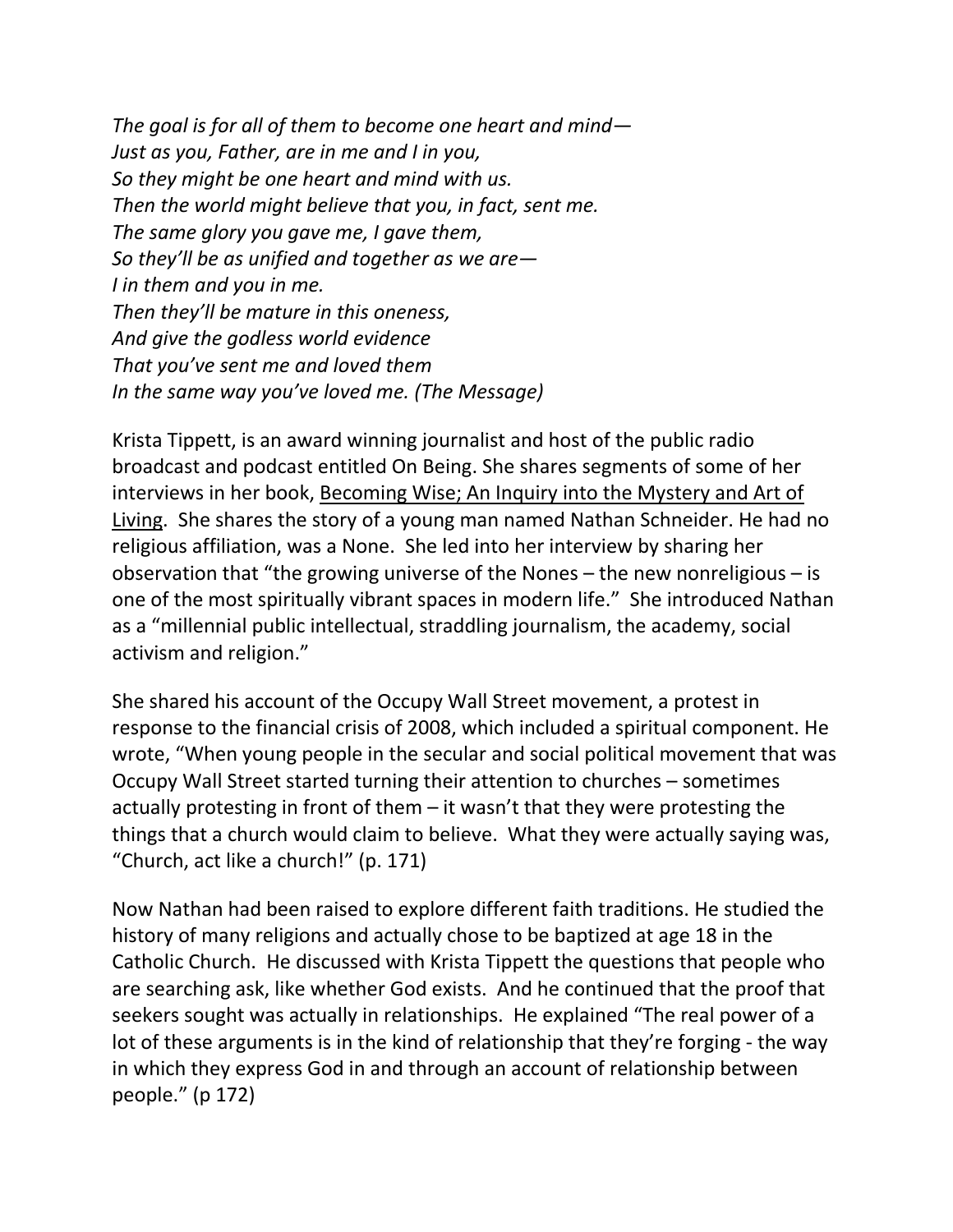*The goal is for all of them to become one heart and mind— Just as you, Father, are in me and I in you, So they might be one heart and mind with us. Then the world might believe that you, in fact, sent me. The same glory you gave me, I gave them, So they'll be as unified and together as we are— I in them and you in me. Then they'll be mature in this oneness, And give the godless world evidence That you've sent me and loved them In the same way you've loved me. (The Message)*

Krista Tippett, is an award winning journalist and host of the public radio broadcast and podcast entitled On Being. She shares segments of some of her interviews in her book, Becoming Wise; An Inquiry into the Mystery and Art of Living. She shares the story of a young man named Nathan Schneider. He had no religious affiliation, was a None. She led into her interview by sharing her observation that "the growing universe of the Nones – the new nonreligious – is one of the most spiritually vibrant spaces in modern life." She introduced Nathan as a "millennial public intellectual, straddling journalism, the academy, social activism and religion."

She shared his account of the Occupy Wall Street movement, a protest in response to the financial crisis of 2008, which included a spiritual component. He wrote, "When young people in the secular and social political movement that was Occupy Wall Street started turning their attention to churches – sometimes actually protesting in front of them – it wasn't that they were protesting the things that a church would claim to believe. What they were actually saying was, "Church, act like a church!" (p. 171)

Now Nathan had been raised to explore different faith traditions. He studied the history of many religions and actually chose to be baptized at age 18 in the Catholic Church. He discussed with Krista Tippett the questions that people who are searching ask, like whether God exists. And he continued that the proof that seekers sought was actually in relationships. He explained "The real power of a lot of these arguments is in the kind of relationship that they're forging - the way in which they express God in and through an account of relationship between people." (p 172)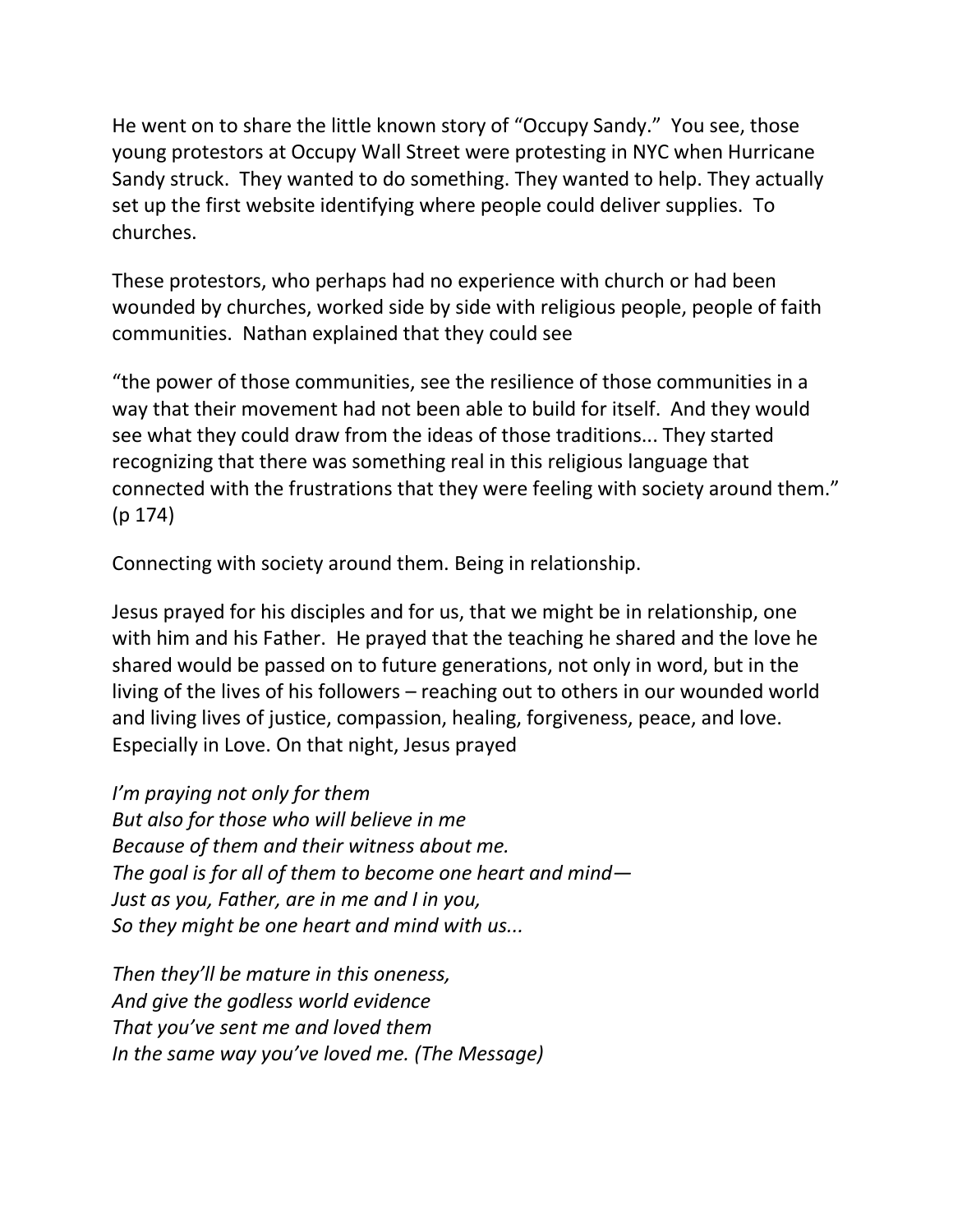He went on to share the little known story of "Occupy Sandy." You see, those young protestors at Occupy Wall Street were protesting in NYC when Hurricane Sandy struck. They wanted to do something. They wanted to help. They actually set up the first website identifying where people could deliver supplies. To churches.

These protestors, who perhaps had no experience with church or had been wounded by churches, worked side by side with religious people, people of faith communities. Nathan explained that they could see

"the power of those communities, see the resilience of those communities in a way that their movement had not been able to build for itself. And they would see what they could draw from the ideas of those traditions... They started recognizing that there was something real in this religious language that connected with the frustrations that they were feeling with society around them." (p 174)

Connecting with society around them. Being in relationship.

Jesus prayed for his disciples and for us, that we might be in relationship, one with him and his Father. He prayed that the teaching he shared and the love he shared would be passed on to future generations, not only in word, but in the living of the lives of his followers – reaching out to others in our wounded world and living lives of justice, compassion, healing, forgiveness, peace, and love. Especially in Love. On that night, Jesus prayed

*I'm praying not only for them But also for those who will believe in me Because of them and their witness about me. The goal is for all of them to become one heart and mind— Just as you, Father, are in me and I in you, So they might be one heart and mind with us...*

*Then they'll be mature in this oneness, And give the godless world evidence That you've sent me and loved them In the same way you've loved me. (The Message)*